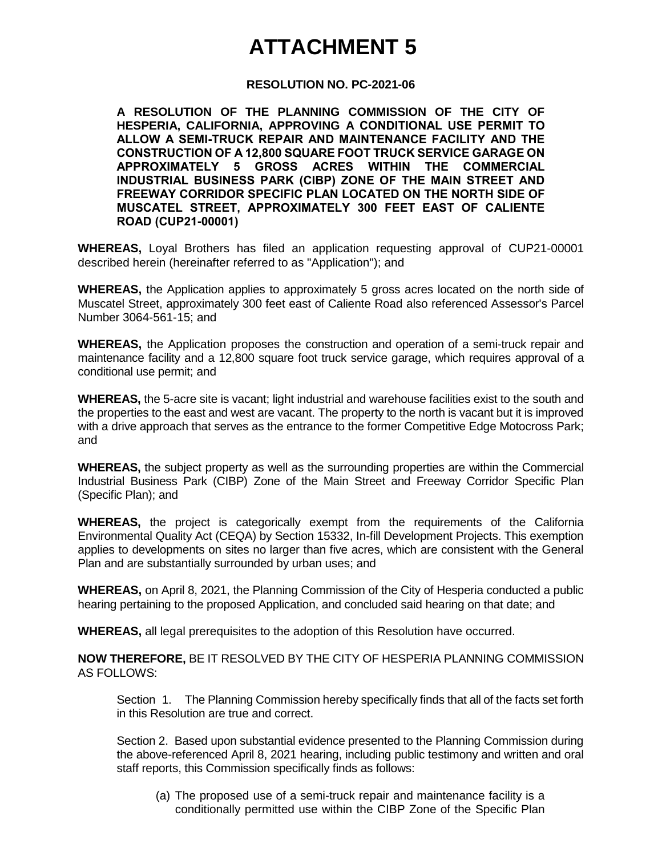## **ATTACHMENT 5**

## **RESOLUTION NO. PC-2021-06**

**A RESOLUTION OF THE PLANNING COMMISSION OF THE CITY OF HESPERIA, CALIFORNIA, APPROVING A CONDITIONAL USE PERMIT TO ALLOW A SEMI-TRUCK REPAIR AND MAINTENANCE FACILITY AND THE CONSTRUCTION OF A 12,800 SQUARE FOOT TRUCK SERVICE GARAGE ON APPROXIMATELY 5 GROSS ACRES WITHIN THE COMMERCIAL INDUSTRIAL BUSINESS PARK (CIBP) ZONE OF THE MAIN STREET AND FREEWAY CORRIDOR SPECIFIC PLAN LOCATED ON THE NORTH SIDE OF MUSCATEL STREET, APPROXIMATELY 300 FEET EAST OF CALIENTE ROAD (CUP21-00001)**

**WHEREAS,** Loyal Brothers has filed an application requesting approval of CUP21-00001 described herein (hereinafter referred to as "Application"); and

**WHEREAS,** the Application applies to approximately 5 gross acres located on the north side of Muscatel Street, approximately 300 feet east of Caliente Road also referenced Assessor's Parcel Number 3064-561-15; and

**WHEREAS,** the Application proposes the construction and operation of a semi-truck repair and maintenance facility and a 12,800 square foot truck service garage, which requires approval of a conditional use permit; and

**WHEREAS,** the 5-acre site is vacant; light industrial and warehouse facilities exist to the south and the properties to the east and west are vacant. The property to the north is vacant but it is improved with a drive approach that serves as the entrance to the former Competitive Edge Motocross Park; and

**WHEREAS,** the subject property as well as the surrounding properties are within the Commercial Industrial Business Park (CIBP) Zone of the Main Street and Freeway Corridor Specific Plan (Specific Plan); and

**WHEREAS,** the project is categorically exempt from the requirements of the California Environmental Quality Act (CEQA) by Section 15332, In-fill Development Projects. This exemption applies to developments on sites no larger than five acres, which are consistent with the General Plan and are substantially surrounded by urban uses; and

**WHEREAS,** on April 8, 2021, the Planning Commission of the City of Hesperia conducted a public hearing pertaining to the proposed Application, and concluded said hearing on that date; and

**WHEREAS,** all legal prerequisites to the adoption of this Resolution have occurred.

**NOW THEREFORE,** BE IT RESOLVED BY THE CITY OF HESPERIA PLANNING COMMISSION AS FOLLOWS:

Section 1. The Planning Commission hereby specifically finds that all of the facts set forth in this Resolution are true and correct.

Section 2. Based upon substantial evidence presented to the Planning Commission during the above-referenced April 8, 2021 hearing, including public testimony and written and oral staff reports, this Commission specifically finds as follows:

(a) The proposed use of a semi-truck repair and maintenance facility is a conditionally permitted use within the CIBP Zone of the Specific Plan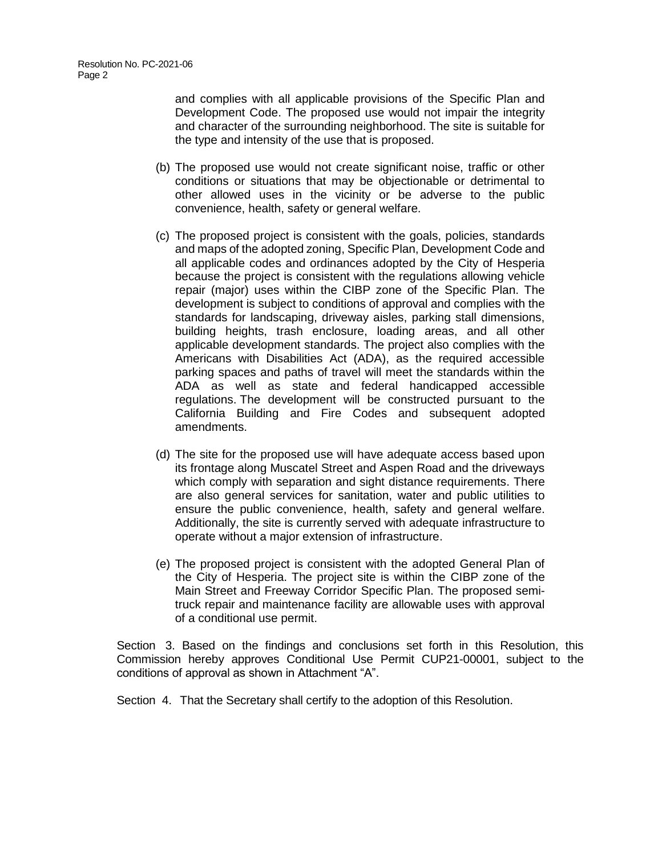and complies with all applicable provisions of the Specific Plan and Development Code. The proposed use would not impair the integrity and character of the surrounding neighborhood. The site is suitable for the type and intensity of the use that is proposed.

- (b) The proposed use would not create significant noise, traffic or other conditions or situations that may be objectionable or detrimental to other allowed uses in the vicinity or be adverse to the public convenience, health, safety or general welfare.
- (c) The proposed project is consistent with the goals, policies, standards and maps of the adopted zoning, Specific Plan, Development Code and all applicable codes and ordinances adopted by the City of Hesperia because the project is consistent with the regulations allowing vehicle repair (major) uses within the CIBP zone of the Specific Plan. The development is subject to conditions of approval and complies with the standards for landscaping, driveway aisles, parking stall dimensions, building heights, trash enclosure, loading areas, and all other applicable development standards. The project also complies with the Americans with Disabilities Act (ADA), as the required accessible parking spaces and paths of travel will meet the standards within the ADA as well as state and federal handicapped accessible regulations. The development will be constructed pursuant to the California Building and Fire Codes and subsequent adopted amendments.
- (d) The site for the proposed use will have adequate access based upon its frontage along Muscatel Street and Aspen Road and the driveways which comply with separation and sight distance requirements. There are also general services for sanitation, water and public utilities to ensure the public convenience, health, safety and general welfare. Additionally, the site is currently served with adequate infrastructure to operate without a major extension of infrastructure.
- (e) The proposed project is consistent with the adopted General Plan of the City of Hesperia. The project site is within the CIBP zone of the Main Street and Freeway Corridor Specific Plan. The proposed semitruck repair and maintenance facility are allowable uses with approval of a conditional use permit.

Section 3. Based on the findings and conclusions set forth in this Resolution, this Commission hereby approves Conditional Use Permit CUP21-00001, subject to the conditions of approval as shown in Attachment "A".

Section 4. That the Secretary shall certify to the adoption of this Resolution.